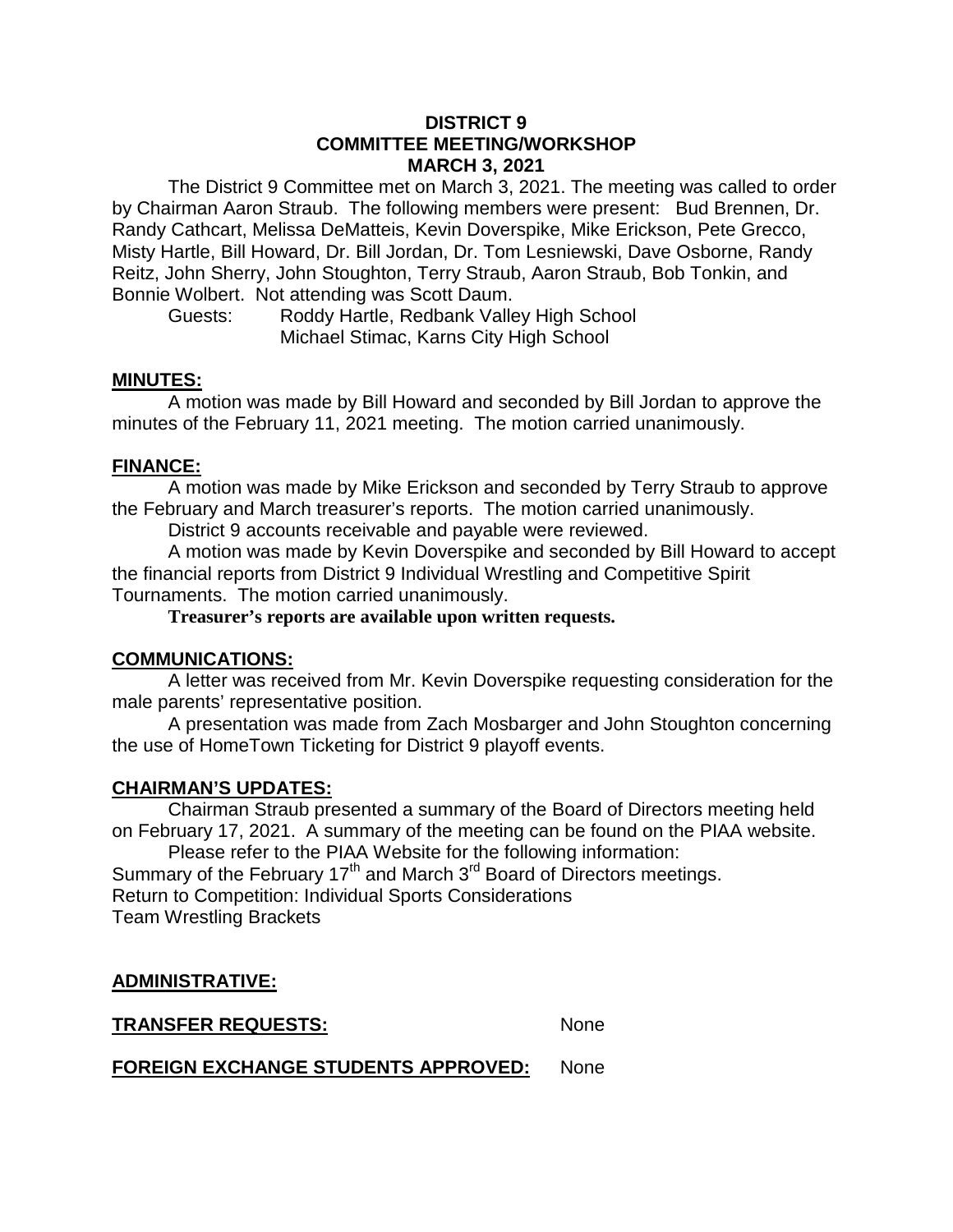#### **DISTRICT 9 COMMITTEE MEETING/WORKSHOP MARCH 3, 2021**

The District 9 Committee met on March 3, 2021. The meeting was called to order by Chairman Aaron Straub. The following members were present: Bud Brennen, Dr. Randy Cathcart, Melissa DeMatteis, Kevin Doverspike, Mike Erickson, Pete Grecco, Misty Hartle, Bill Howard, Dr. Bill Jordan, Dr. Tom Lesniewski, Dave Osborne, Randy Reitz, John Sherry, John Stoughton, Terry Straub, Aaron Straub, Bob Tonkin, and Bonnie Wolbert. Not attending was Scott Daum.

Guests: Roddy Hartle, Redbank Valley High School Michael Stimac, Karns City High School

#### **MINUTES:**

A motion was made by Bill Howard and seconded by Bill Jordan to approve the minutes of the February 11, 2021 meeting. The motion carried unanimously.

## **FINANCE:**

A motion was made by Mike Erickson and seconded by Terry Straub to approve the February and March treasurer's reports. The motion carried unanimously.

District 9 accounts receivable and payable were reviewed.

A motion was made by Kevin Doverspike and seconded by Bill Howard to accept the financial reports from District 9 Individual Wrestling and Competitive Spirit Tournaments. The motion carried unanimously.

**Treasurer's reports are available upon written requests.**

## **COMMUNICATIONS:**

A letter was received from Mr. Kevin Doverspike requesting consideration for the male parents' representative position.

A presentation was made from Zach Mosbarger and John Stoughton concerning the use of HomeTown Ticketing for District 9 playoff events.

## **CHAIRMAN'S UPDATES:**

Chairman Straub presented a summary of the Board of Directors meeting held on February 17, 2021. A summary of the meeting can be found on the PIAA website.

Please refer to the PIAA Website for the following information: Summary of the February 17<sup>th</sup> and March 3<sup>rd</sup> Board of Directors meetings. Return to Competition: Individual Sports Considerations Team Wrestling Brackets

# **ADMINISTRATIVE:**

**TRANSFER REQUESTS:** None

**FOREIGN EXCHANGE STUDENTS APPROVED:** None